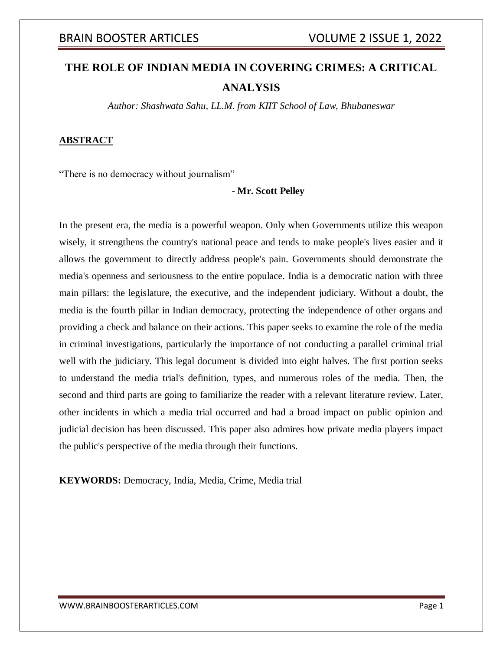# **THE ROLE OF INDIAN MEDIA IN COVERING CRIMES: A CRITICAL ANALYSIS**

*Author: Shashwata Sahu, LL.M. from KIIT School of Law, Bhubaneswar*

## **ABSTRACT**

"There is no democracy without journalism"

## - **Mr. Scott Pelley**

In the present era, the media is a powerful weapon. Only when Governments utilize this weapon wisely, it strengthens the country's national peace and tends to make people's lives easier and it allows the government to directly address people's pain. Governments should demonstrate the media's openness and seriousness to the entire populace. India is a democratic nation with three main pillars: the legislature, the executive, and the independent judiciary. Without a doubt, the media is the fourth pillar in Indian democracy, protecting the independence of other organs and providing a check and balance on their actions. This paper seeks to examine the role of the media in criminal investigations, particularly the importance of not conducting a parallel criminal trial well with the judiciary. This legal document is divided into eight halves. The first portion seeks to understand the media trial's definition, types, and numerous roles of the media. Then, the second and third parts are going to familiarize the reader with a relevant literature review. Later, other incidents in which a media trial occurred and had a broad impact on public opinion and judicial decision has been discussed. This paper also admires how private media players impact the public's perspective of the media through their functions.

**KEYWORDS:** Democracy, India, Media, Crime, Media trial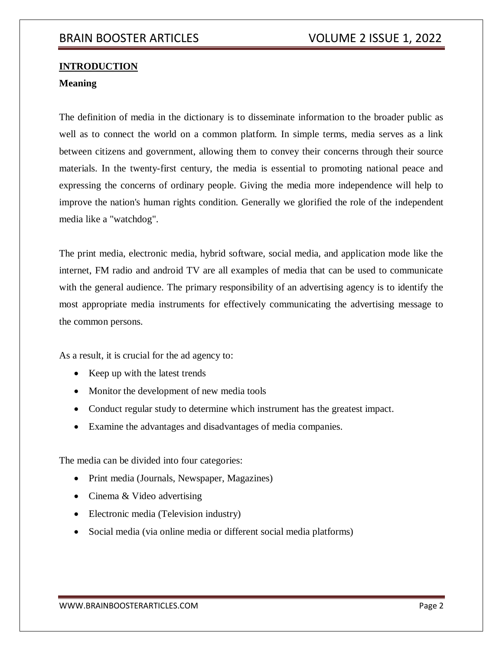# **INTRODUCTION**

## **Meaning**

The definition of media in the dictionary is to disseminate information to the broader public as well as to connect the world on a common platform. In simple terms, media serves as a link between citizens and government, allowing them to convey their concerns through their source materials. In the twenty-first century, the media is essential to promoting national peace and expressing the concerns of ordinary people. Giving the media more independence will help to improve the nation's human rights condition. Generally we glorified the role of the independent media like a "watchdog".

The print media, electronic media, hybrid software, social media, and application mode like the internet, FM radio and android TV are all examples of media that can be used to communicate with the general audience. The primary responsibility of an advertising agency is to identify the most appropriate media instruments for effectively communicating the advertising message to the common persons.

As a result, it is crucial for the ad agency to:

- Keep up with the latest trends
- Monitor the development of new media tools
- Conduct regular study to determine which instrument has the greatest impact.
- Examine the advantages and disadvantages of media companies.

The media can be divided into four categories:

- Print media (Journals, Newspaper, Magazines)
- Cinema & Video advertising
- Electronic media (Television industry)
- Social media (via online media or different social media platforms)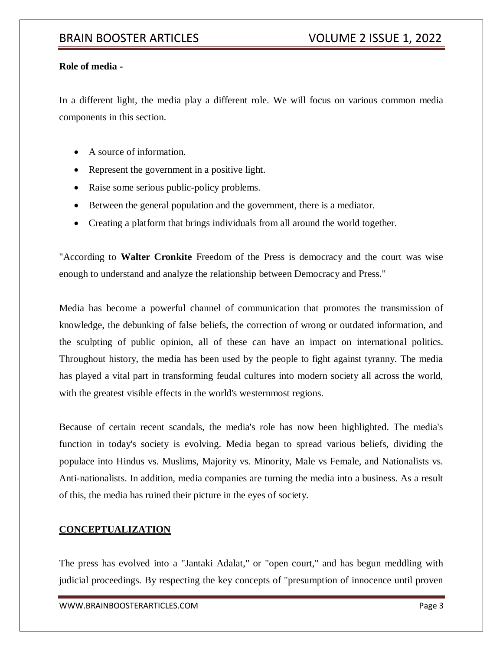## **Role of media -**

In a different light, the media play a different role. We will focus on various common media components in this section.

- A source of information.
- Represent the government in a positive light.
- Raise some serious public-policy problems.
- Between the general population and the government, there is a mediator.
- Creating a platform that brings individuals from all around the world together.

"According to **Walter Cronkite** Freedom of the Press is democracy and the court was wise enough to understand and analyze the relationship between Democracy and Press."

Media has become a powerful channel of communication that promotes the transmission of knowledge, the debunking of false beliefs, the correction of wrong or outdated information, and the sculpting of public opinion, all of these can have an impact on international politics. Throughout history, the media has been used by the people to fight against tyranny. The media has played a vital part in transforming feudal cultures into modern society all across the world, with the greatest visible effects in the world's westernmost regions.

Because of certain recent scandals, the media's role has now been highlighted. The media's function in today's society is evolving. Media began to spread various beliefs, dividing the populace into Hindus vs. Muslims, Majority vs. Minority, Male vs Female, and Nationalists vs. Anti-nationalists. In addition, media companies are turning the media into a business. As a result of this, the media has ruined their picture in the eyes of society.

## **CONCEPTUALIZATION**

The press has evolved into a "Jantaki Adalat," or "open court," and has begun meddling with judicial proceedings. By respecting the key concepts of "presumption of innocence until proven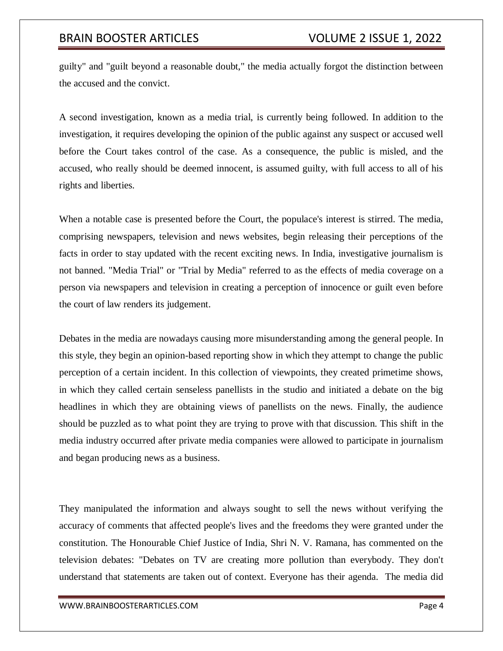guilty" and "guilt beyond a reasonable doubt," the media actually forgot the distinction between the accused and the convict.

A second investigation, known as a media trial, is currently being followed. In addition to the investigation, it requires developing the opinion of the public against any suspect or accused well before the Court takes control of the case. As a consequence, the public is misled, and the accused, who really should be deemed innocent, is assumed guilty, with full access to all of his rights and liberties.

When a notable case is presented before the Court, the populace's interest is stirred. The media, comprising newspapers, television and news websites, begin releasing their perceptions of the facts in order to stay updated with the recent exciting news. In India, investigative journalism is not banned. "Media Trial" or "Trial by Media" referred to as the effects of media coverage on a person via newspapers and television in creating a perception of innocence or guilt even before the court of law renders its judgement.

Debates in the media are nowadays causing more misunderstanding among the general people. In this style, they begin an opinion-based reporting show in which they attempt to change the public perception of a certain incident. In this collection of viewpoints, they created primetime shows, in which they called certain senseless panellists in the studio and initiated a debate on the big headlines in which they are obtaining views of panellists on the news. Finally, the audience should be puzzled as to what point they are trying to prove with that discussion. This shift in the media industry occurred after private media companies were allowed to participate in journalism and began producing news as a business.

They manipulated the information and always sought to sell the news without verifying the accuracy of comments that affected people's lives and the freedoms they were granted under the constitution. The Honourable Chief Justice of India, Shri N. V. Ramana, has commented on the television debates: "Debates on TV are creating more pollution than everybody. They don't understand that statements are taken out of context. Everyone has their agenda. The media did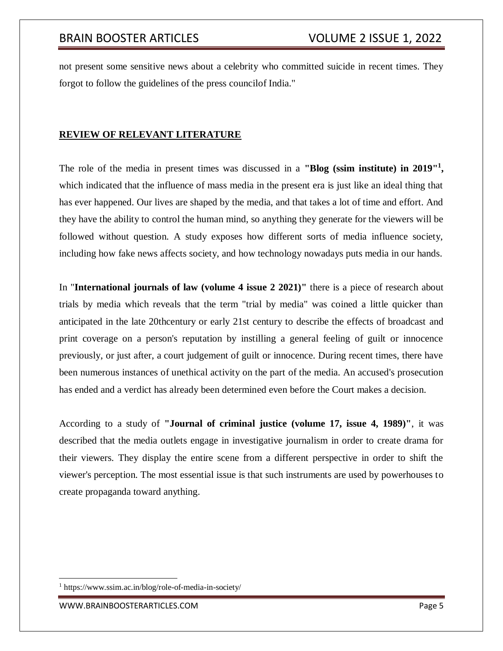not present some sensitive news about a celebrity who committed suicide in recent times. They forgot to follow the guidelines of the press councilof India."

# **REVIEW OF RELEVANT LITERATURE**

The role of the media in present times was discussed in a **"Blog (ssim institute) in 2019"<sup>1</sup> ,** which indicated that the influence of mass media in the present era is just like an ideal thing that has ever happened. Our lives are shaped by the media, and that takes a lot of time and effort. And they have the ability to control the human mind, so anything they generate for the viewers will be followed without question. A study exposes how different sorts of media influence society, including how fake news affects society, and how technology nowadays puts media in our hands.

In "**International journals of law (volume 4 issue 2 2021)"** there is a piece of research about trials by media which reveals that the term "trial by media" was coined a little quicker than anticipated in the late 20thcentury or early 21st century to describe the effects of broadcast and print coverage on a person's reputation by instilling a general feeling of guilt or innocence previously, or just after, a court judgement of guilt or innocence. During recent times, there have been numerous instances of unethical activity on the part of the media. An accused's prosecution has ended and a verdict has already been determined even before the Court makes a decision.

According to a study of **"Journal of criminal justice (volume 17, issue 4, 1989)"**, it was described that the media outlets engage in investigative journalism in order to create drama for their viewers. They display the entire scene from a different perspective in order to shift the viewer's perception. The most essential issue is that such instruments are used by powerhouses to create propaganda toward anything.

<sup>1</sup> https://www.ssim.ac.in/blog/role-of-media-in-society/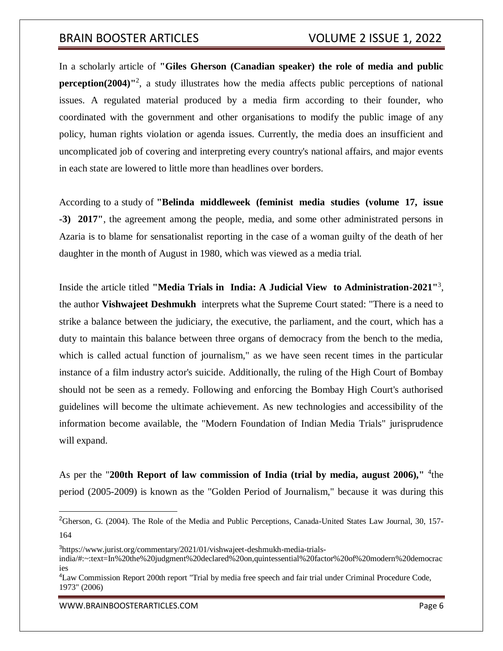In a scholarly article of **"Giles Gherson (Canadian speaker) the role of media and public perception(2004)**<sup>12</sup>, a study illustrates how the media affects public perceptions of national issues. A regulated material produced by a media firm according to their founder, who coordinated with the government and other organisations to modify the public image of any policy, human rights violation or agenda issues. Currently, the media does an insufficient and uncomplicated job of covering and interpreting every country's national affairs, and major events in each state are lowered to little more than headlines over borders.

According to a study of **"Belinda middleweek (feminist media studies (volume 17, issue -3) 2017"**, the agreement among the people, media, and some other administrated persons in Azaria is to blame for sensationalist reporting in the case of a woman guilty of the death of her daughter in the month of August in 1980, which was viewed as a media trial.

Inside the article titled **"Media Trials in India: A Judicial View to Administration-2021"**<sup>3</sup> , the author **Vishwajeet Deshmukh** interprets what the Supreme Court stated: "There is a need to strike a balance between the judiciary, the executive, the parliament, and the court, which has a duty to maintain this balance between three organs of democracy from the bench to the media, which is called actual function of journalism," as we have seen recent times in the particular instance of a film industry actor's suicide. Additionally, the ruling of the High Court of Bombay should not be seen as a remedy. Following and enforcing the Bombay High Court's authorised guidelines will become the ultimate achievement. As new technologies and accessibility of the information become available, the "Modern Foundation of Indian Media Trials" jurisprudence will expand.

As per the "200th Report of law commission of India (trial by media, august 2006)," <sup>4</sup>the period (2005-2009) is known as the "Golden Period of Journalism," because it was during this

WWW.BRAINBOOSTERARTICLES.COM **Example 2018** 2019 12:00 Page 6

 $\overline{a}$ 

<sup>&</sup>lt;sup>2</sup>Gherson, G. (2004). The Role of the Media and Public Perceptions, Canada-United States Law Journal, 30, 157-164

<sup>3</sup>https://www.jurist.org/commentary/2021/01/vishwajeet-deshmukh-media-trials-

india/#:~:text=In%20the%20judgment%20declared%20on,quintessential%20factor%20of%20modern%20democrac ies

<sup>4</sup>Law Commission Report 200th report "Trial by media free speech and fair trial under Criminal Procedure Code, 1973" (2006)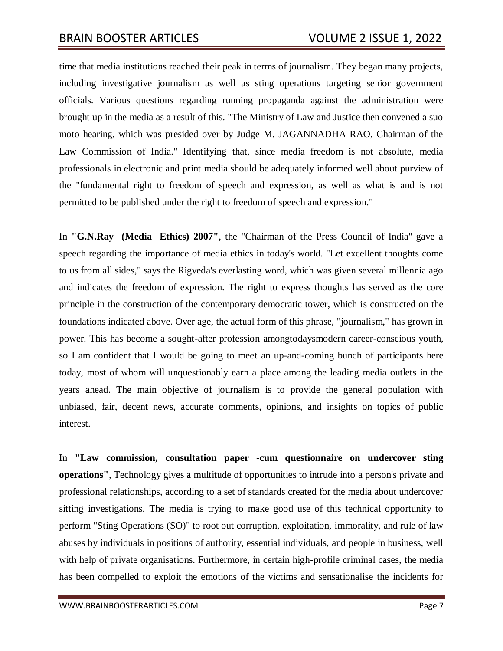time that media institutions reached their peak in terms of journalism. They began many projects, including investigative journalism as well as sting operations targeting senior government officials. Various questions regarding running propaganda against the administration were brought up in the media as a result of this. "The Ministry of Law and Justice then convened a suo moto hearing, which was presided over by Judge M. JAGANNADHA RAO, Chairman of the Law Commission of India." Identifying that, since media freedom is not absolute, media professionals in electronic and print media should be adequately informed well about purview of the "fundamental right to freedom of speech and expression, as well as what is and is not permitted to be published under the right to freedom of speech and expression."

In **"G.N.Ray (Media Ethics) 2007"**, the "Chairman of the Press Council of India'' gave a speech regarding the importance of media ethics in today's world. "Let excellent thoughts come to us from all sides," says the Rigveda's everlasting word, which was given several millennia ago and indicates the freedom of expression. The right to express thoughts has served as the core principle in the construction of the contemporary democratic tower, which is constructed on the foundations indicated above. Over age, the actual form of this phrase, "journalism," has grown in power. This has become a sought-after profession amongtodaysmodern career-conscious youth, so I am confident that I would be going to meet an up-and-coming bunch of participants here today, most of whom will unquestionably earn a place among the leading media outlets in the years ahead. The main objective of journalism is to provide the general population with unbiased, fair, decent news, accurate comments, opinions, and insights on topics of public interest.

In **"Law commission, consultation paper -cum questionnaire on undercover sting operations"**, Technology gives a multitude of opportunities to intrude into a person's private and professional relationships, according to a set of standards created for the media about undercover sitting investigations. The media is trying to make good use of this technical opportunity to perform "Sting Operations (SO)" to root out corruption, exploitation, immorality, and rule of law abuses by individuals in positions of authority, essential individuals, and people in business, well with help of private organisations. Furthermore, in certain high-profile criminal cases, the media has been compelled to exploit the emotions of the victims and sensationalise the incidents for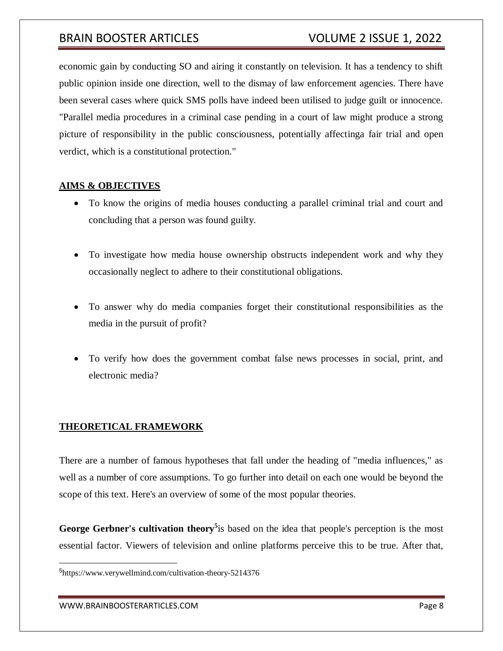economic gain by conducting SO and airing it constantly on television. It has a tendency to shift public opinion inside one direction, well to the dismay of law enforcement agencies. There have been several cases where quick SMS polls have indeed been utilised to judge guilt or innocence. "Parallel media procedures in a criminal case pending in a court of law might produce a strong picture of responsibility in the public consciousness, potentially affectinga fair trial and open verdict, which is a constitutional protection."

## **AIMS & OBJECTIVES**

- To know the origins of media houses conducting a parallel criminal trial and court and concluding that a person was found guilty.
- To investigate how media house ownership obstructs independent work and why they occasionally neglect to adhere to their constitutional obligations.
- To answer why do media companies forget their constitutional responsibilities as the media in the pursuit of profit?
- To verify how does the government combat false news processes in social, print, and electronic media?

## **THEORETICAL FRAMEWORK**

There are a number of famous hypotheses that fall under the heading of "media influences," as well as a number of core assumptions. To go further into detail on each one would be beyond the scope of this text. Here's an overview of some of the most popular theories.

George Gerbner's cultivation theory<sup>5</sup> is based on the idea that people's perception is the most essential factor. Viewers of television and online platforms perceive this to be true. After that,

<sup>5</sup> <https://www.verywellmind.com/cultivation-theory-5214376>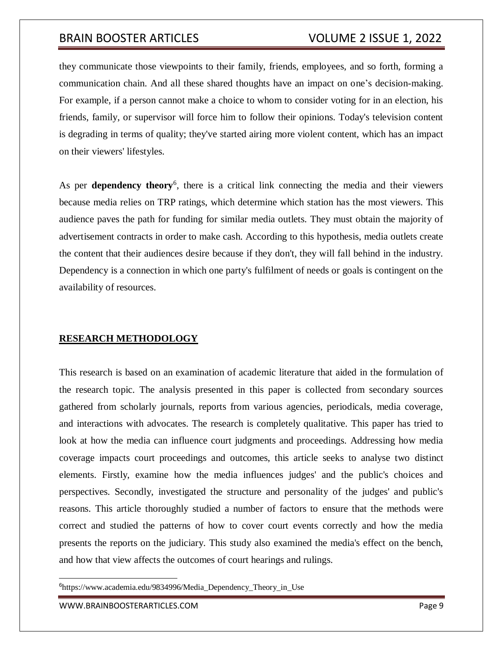they communicate those viewpoints to their family, friends, employees, and so forth, forming a communication chain. And all these shared thoughts have an impact on one's decision-making. For example, if a person cannot make a choice to whom to consider voting for in an election, his friends, family, or supervisor will force him to follow their opinions. Today's television content is degrading in terms of quality; they've started airing more violent content, which has an impact on their viewers' lifestyles.

As per **dependency theory**<sup>6</sup>, there is a critical link connecting the media and their viewers because media relies on TRP ratings, which determine which station has the most viewers. This audience paves the path for funding for similar media outlets. They must obtain the majority of advertisement contracts in order to make cash. According to this hypothesis, media outlets create the content that their audiences desire because if they don't, they will fall behind in the industry. Dependency is a connection in which one party's fulfilment of needs or goals is contingent on the availability of resources.

## **RESEARCH METHODOLOGY**

This research is based on an examination of academic literature that aided in the formulation of the research topic. The analysis presented in this paper is collected from secondary sources gathered from scholarly journals, reports from various agencies, periodicals, media coverage, and interactions with advocates. The research is completely qualitative. This paper has tried to look at how the media can influence court judgments and proceedings. Addressing how media coverage impacts court proceedings and outcomes, this article seeks to analyse two distinct elements. Firstly, examine how the media influences judges' and the public's choices and perspectives. Secondly, investigated the structure and personality of the judges' and public's reasons. This article thoroughly studied a number of factors to ensure that the methods were correct and studied the patterns of how to cover court events correctly and how the media presents the reports on the judiciary. This study also examined the media's effect on the bench, and how that view affects the outcomes of court hearings and rulings.

<sup>6</sup>[https://www.academia.edu/9834996/Media\\_Dependency\\_Theory\\_in\\_Use](https://www.academia.edu/9834996/Media_Dependency_Theory_in_Use)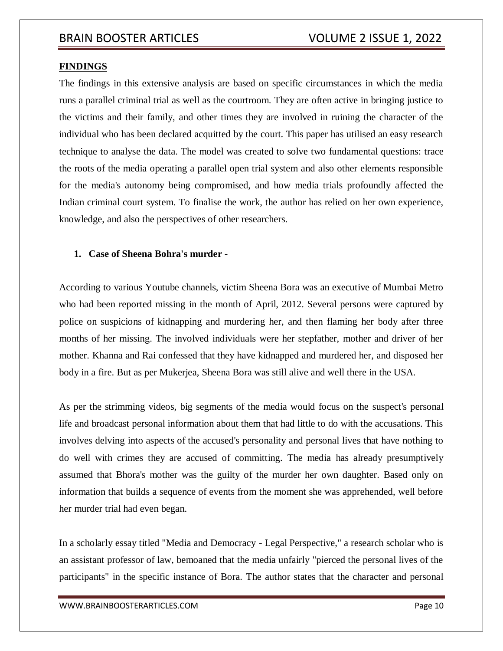### **FINDINGS**

The findings in this extensive analysis are based on specific circumstances in which the media runs a parallel criminal trial as well as the courtroom. They are often active in bringing justice to the victims and their family, and other times they are involved in ruining the character of the individual who has been declared acquitted by the court. This paper has utilised an easy research technique to analyse the data. The model was created to solve two fundamental questions: trace the roots of the media operating a parallel open trial system and also other elements responsible for the media's autonomy being compromised, and how media trials profoundly affected the Indian criminal court system. To finalise the work, the author has relied on her own experience, knowledge, and also the perspectives of other researchers.

## **1. Case of Sheena Bohra's murder -**

According to various Youtube channels, victim Sheena Bora was an executive of Mumbai Metro who had been reported missing in the month of April, 2012. Several persons were captured by police on suspicions of kidnapping and murdering her, and then flaming her body after three months of her missing. The involved individuals were her stepfather, mother and driver of her mother. Khanna and Rai confessed that they have kidnapped and murdered her, and disposed her body in a fire. But as per Mukerjea, Sheena Bora was still alive and well there in the USA.

As per the strimming videos, big segments of the media would focus on the suspect's personal life and broadcast personal information about them that had little to do with the accusations. This involves delving into aspects of the accused's personality and personal lives that have nothing to do well with crimes they are accused of committing. The media has already presumptively assumed that Bhora's mother was the guilty of the murder her own daughter. Based only on information that builds a sequence of events from the moment she was apprehended, well before her murder trial had even began.

In a scholarly essay titled "Media and Democracy - Legal Perspective," a research scholar who is an assistant professor of law, bemoaned that the media unfairly "pierced the personal lives of the participants" in the specific instance of Bora. The author states that the character and personal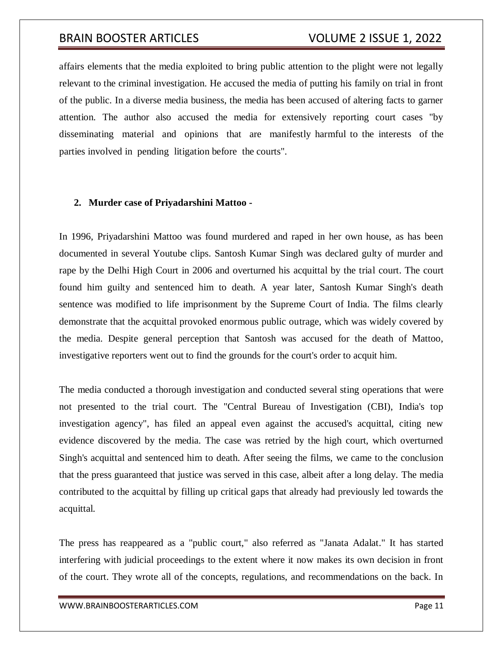affairs elements that the media exploited to bring public attention to the plight were not legally relevant to the criminal investigation. He accused the media of putting his family on trial in front of the public. In a diverse media business, the media has been accused of altering facts to garner attention. The author also accused the media for extensively reporting court cases "by disseminating material and opinions that are manifestly harmful to the interests of the parties involved in pending litigation before the courts".

### **2. Murder case of Priyadarshini Mattoo -**

In 1996, Priyadarshini Mattoo was found murdered and raped in her own house, as has been documented in several Youtube clips. Santosh Kumar Singh was declared gulty of murder and rape by the Delhi High Court in 2006 and overturned his acquittal by the trial court. The court found him guilty and sentenced him to death. A year later, Santosh Kumar Singh's death sentence was modified to life imprisonment by the Supreme Court of India. The films clearly demonstrate that the acquittal provoked enormous public outrage, which was widely covered by the media. Despite general perception that Santosh was accused for the death of Mattoo, investigative reporters went out to find the grounds for the court's order to acquit him.

The media conducted a thorough investigation and conducted several sting operations that were not presented to the trial court. The "Central Bureau of Investigation (CBI), India's top investigation agency", has filed an appeal even against the accused's acquittal, citing new evidence discovered by the media. The case was retried by the high court, which overturned Singh's acquittal and sentenced him to death. After seeing the films, we came to the conclusion that the press guaranteed that justice was served in this case, albeit after a long delay. The media contributed to the acquittal by filling up critical gaps that already had previously led towards the acquittal.

The press has reappeared as a "public court," also referred as "Janata Adalat." It has started interfering with judicial proceedings to the extent where it now makes its own decision in front of the court. They wrote all of the concepts, regulations, and recommendations on the back. In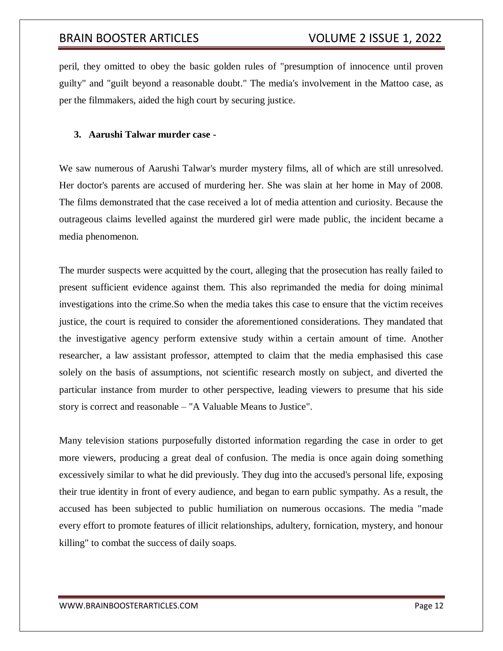peril, they omitted to obey the basic golden rules of "presumption of innocence until proven guilty" and "guilt beyond a reasonable doubt." The media's involvement in the Mattoo case, as per the filmmakers, aided the high court by securing justice.

### **3. Aarushi Talwar murder case -**

We saw numerous of Aarushi Talwar's murder mystery films, all of which are still unresolved. Her doctor's parents are accused of murdering her. She was slain at her home in May of 2008. The films demonstrated that the case received a lot of media attention and curiosity. Because the outrageous claims levelled against the murdered girl were made public, the incident became a media phenomenon.

The murder suspects were acquitted by the court, alleging that the prosecution has really failed to present sufficient evidence against them. This also reprimanded the media for doing minimal investigations into the crime.So when the media takes this case to ensure that the victim receives justice, the court is required to consider the aforementioned considerations. They mandated that the investigative agency perform extensive study within a certain amount of time. Another researcher, a law assistant professor, attempted to claim that the media emphasised this case solely on the basis of assumptions, not scientific research mostly on subject, and diverted the particular instance from murder to other perspective, leading viewers to presume that his side story is correct and reasonable – "A Valuable Means to Justice".

Many television stations purposefully distorted information regarding the case in order to get more viewers, producing a great deal of confusion. The media is once again doing something excessively similar to what he did previously. They dug into the accused's personal life, exposing their true identity in front of every audience, and began to earn public sympathy. As a result, the accused has been subjected to public humiliation on numerous occasions. The media "made every effort to promote features of illicit relationships, adultery, fornication, mystery, and honour killing" to combat the success of daily soaps.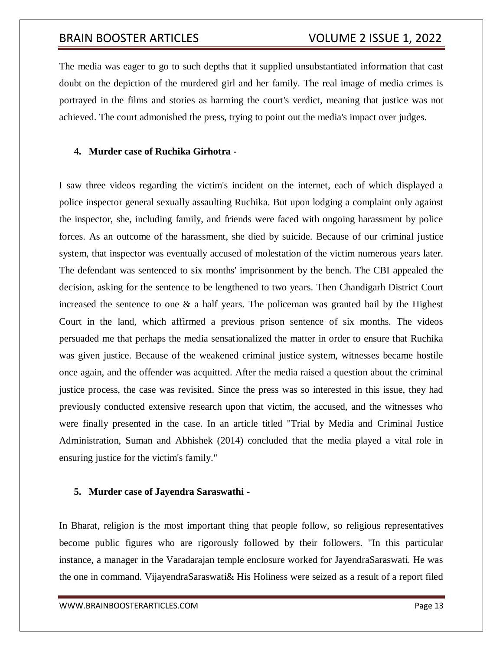The media was eager to go to such depths that it supplied unsubstantiated information that cast doubt on the depiction of the murdered girl and her family. The real image of media crimes is portrayed in the films and stories as harming the court's verdict, meaning that justice was not achieved. The court admonished the press, trying to point out the media's impact over judges.

## **4. Murder case of Ruchika Girhotra -**

I saw three videos regarding the victim's incident on the internet, each of which displayed a police inspector general sexually assaulting Ruchika. But upon lodging a complaint only against the inspector, she, including family, and friends were faced with ongoing harassment by police forces. As an outcome of the harassment, she died by suicide. Because of our criminal justice system, that inspector was eventually accused of molestation of the victim numerous years later. The defendant was sentenced to six months' imprisonment by the bench. The CBI appealed the decision, asking for the sentence to be lengthened to two years. Then Chandigarh District Court increased the sentence to one  $\&$  a half years. The policeman was granted bail by the Highest Court in the land, which affirmed a previous prison sentence of six months. The videos persuaded me that perhaps the media sensationalized the matter in order to ensure that Ruchika was given justice. Because of the weakened criminal justice system, witnesses became hostile once again, and the offender was acquitted. After the media raised a question about the criminal justice process, the case was revisited. Since the press was so interested in this issue, they had previously conducted extensive research upon that victim, the accused, and the witnesses who were finally presented in the case. In an article titled "Trial by Media and Criminal Justice Administration, Suman and Abhishek (2014) concluded that the media played a vital role in ensuring justice for the victim's family."

### **5. Murder case of Jayendra Saraswathi -**

In Bharat, religion is the most important thing that people follow, so religious representatives become public figures who are rigorously followed by their followers. "In this particular instance, a manager in the Varadarajan temple enclosure worked for JayendraSaraswati. He was the one in command. VijayendraSaraswati& His Holiness were seized as a result of a report filed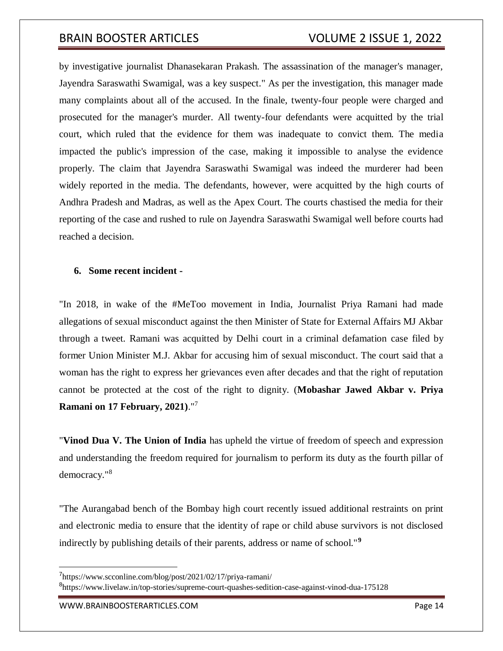by investigative journalist Dhanasekaran Prakash. The assassination of the manager's manager, Jayendra Saraswathi Swamigal, was a key suspect." As per the investigation, this manager made many complaints about all of the accused. In the finale, twenty-four people were charged and prosecuted for the manager's murder. All twenty-four defendants were acquitted by the trial court, which ruled that the evidence for them was inadequate to convict them. The media impacted the public's impression of the case, making it impossible to analyse the evidence properly. The claim that Jayendra Saraswathi Swamigal was indeed the murderer had been widely reported in the media. The defendants, however, were acquitted by the high courts of Andhra Pradesh and Madras, as well as the Apex Court. The courts chastised the media for their reporting of the case and rushed to rule on Jayendra Saraswathi Swamigal well before courts had reached a decision.

### **6. Some recent incident -**

"In 2018, in wake of the #MeToo movement in India, Journalist Priya Ramani had made allegations of sexual misconduct against the then Minister of State for External Affairs MJ Akbar through a tweet. Ramani was acquitted by Delhi court in a criminal defamation case filed by former Union Minister M.J. Akbar for accusing him of sexual misconduct. The court said that a woman has the right to express her grievances even after decades and that the right of reputation cannot be protected at the cost of the right to dignity. (**Mobashar Jawed Akbar v. Priya Ramani on 17 February, 2021)**."<sup>7</sup>

"**Vinod Dua V. The Union of India** has upheld the virtue of freedom of speech and expression and understanding the freedom required for journalism to perform its duty as the fourth pillar of democracy."<sup>8</sup>

"The Aurangabad bench of the Bombay high court recently issued additional restraints on print and electronic media to ensure that the identity of rape or child abuse survivors is not disclosed indirectly by publishing details of their parents, address or name of school."**<sup>9</sup>**

<sup>8</sup><https://www.livelaw.in/top-stories/supreme-court-quashes-sedition-case-against-vinod-dua-175128>

<sup>7</sup> <https://www.scconline.com/blog/post/2021/02/17/priya-ramani/>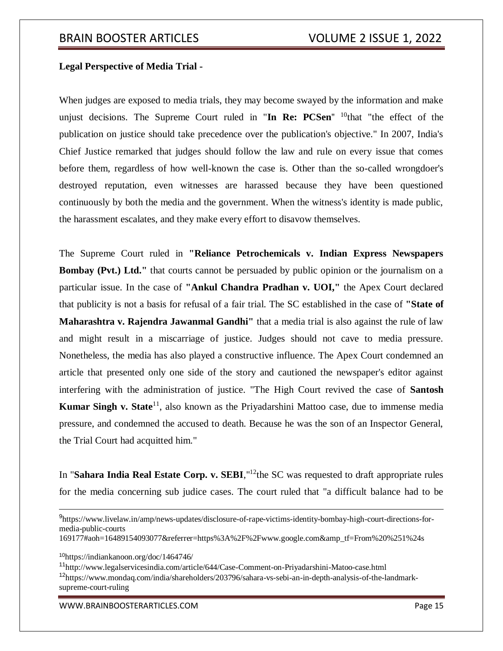## **Legal Perspective of Media Trial -**

When judges are exposed to media trials, they may become swayed by the information and make unjust decisions. The Supreme Court ruled in "In Re: PCSen" <sup>10</sup>that "the effect of the publication on justice should take precedence over the publication's objective." In 2007, India's Chief Justice remarked that judges should follow the law and rule on every issue that comes before them, regardless of how well-known the case is. Other than the so-called wrongdoer's destroyed reputation, even witnesses are harassed because they have been questioned continuously by both the media and the government. When the witness's identity is made public, the harassment escalates, and they make every effort to disavow themselves.

The Supreme Court ruled in **"Reliance Petrochemicals v. Indian Express Newspapers Bombay (Pvt.) Ltd."** that courts cannot be persuaded by public opinion or the journalism on a particular issue. In the case of **"Ankul Chandra Pradhan v. UOI,"** the Apex Court declared that publicity is not a basis for refusal of a fair trial. The SC established in the case of **"State of Maharashtra v. Rajendra Jawanmal Gandhi"** that a media trial is also against the rule of law and might result in a miscarriage of justice. Judges should not cave to media pressure. Nonetheless, the media has also played a constructive influence. The Apex Court condemned an article that presented only one side of the story and cautioned the newspaper's editor against interfering with the administration of justice. "The High Court revived the case of **Santosh Kumar Singh v. State**<sup>11</sup>, also known as the Priyadarshini Mattoo case, due to immense media pressure, and condemned the accused to death. Because he was the son of an Inspector General, the Trial Court had acquitted him."

In "Sahara India Real Estate Corp. v. SEBI,"<sup>12</sup>the SC was requested to draft appropriate rules for the media concerning sub judice cases. The court ruled that "a difficult balance had to be

WWW.BRAINBOOSTERARTICLES.COM **Page 15** 

<sup>9</sup> [https://www.livelaw.in/amp/news-updates/disclosure-of-rape-victims-identity-bombay-high-court-directions-for](https://www.livelaw.in/amp/news-updates/disclosure-of-rape-victims-identity-bombay-high-court-directions-for-media-public-courts%20169177#aoh=16489154093077&referrer=https%3A%2F%2Fwww.google.com&_tf=From%20%251%24s)[media-public-courts](https://www.livelaw.in/amp/news-updates/disclosure-of-rape-victims-identity-bombay-high-court-directions-for-media-public-courts%20169177#aoh=16489154093077&referrer=https%3A%2F%2Fwww.google.com&_tf=From%20%251%24s) 

[<sup>169177#</sup>aoh=16489154093077&referrer=https%3A%2F%2Fwww.google.com&amp\\_tf=From%20%251%24s](https://www.livelaw.in/amp/news-updates/disclosure-of-rape-victims-identity-bombay-high-court-directions-for-media-public-courts%20169177#aoh=16489154093077&referrer=https%3A%2F%2Fwww.google.com&_tf=From%20%251%24s)

<sup>10</sup><https://indiankanoon.org/doc/1464746/>

<sup>11</sup><http://www.legalservicesindia.com/article/644/Case-Comment-on-Priyadarshini-Matoo-case.html> <sup>12</sup>[https://www.mondaq.com/india/shareholders/203796/sahara-vs-sebi-an-in-depth-analysis-of-the-landmark](https://www.mondaq.com/india/shareholders/203796/sahara-vs-sebi-an-in-depth-analysis-of-the-landmark-supreme-court-ruling)[supreme-court-ruling](https://www.mondaq.com/india/shareholders/203796/sahara-vs-sebi-an-in-depth-analysis-of-the-landmark-supreme-court-ruling)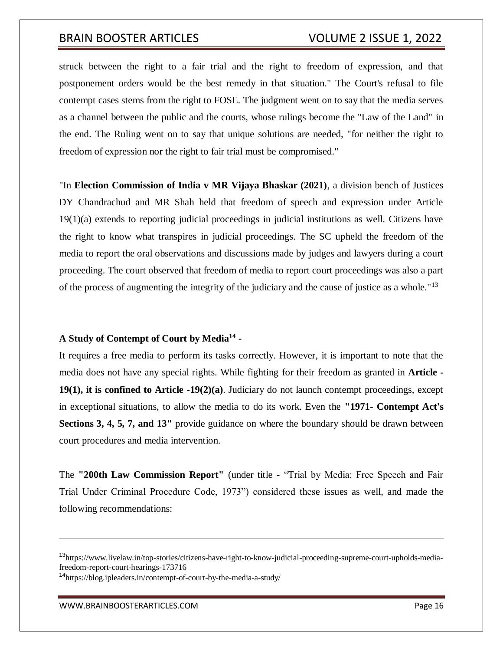struck between the right to a fair trial and the right to freedom of expression, and that postponement orders would be the best remedy in that situation." The Court's refusal to file contempt cases stems from the right to FOSE. The judgment went on to say that the media serves as a channel between the public and the courts, whose rulings become the "Law of the Land" in the end. The Ruling went on to say that unique solutions are needed, "for neither the right to freedom of expression nor the right to fair trial must be compromised."

"In **Election Commission of India v MR Vijaya Bhaskar (2021)**, a division bench of Justices DY Chandrachud and MR Shah held that freedom of speech and expression under Article 19(1)(a) extends to reporting judicial proceedings in judicial institutions as well. Citizens have the right to know what transpires in judicial proceedings. The SC upheld the freedom of the media to report the oral observations and discussions made by judges and lawyers during a court proceeding. The court observed that freedom of media to report court proceedings was also a part of the process of augmenting the integrity of the judiciary and the cause of justice as a whole."<sup>13</sup>

## **A Study of Contempt of Court by Media<sup>14</sup> -**

It requires a free media to perform its tasks correctly. However, it is important to note that the media does not have any special rights. While fighting for their freedom as granted in **Article - 19(1), it is confined to Article -19(2)(a)**. Judiciary do not launch contempt proceedings, except in exceptional situations, to allow the media to do its work. Even the **"1971- Contempt Act's Sections 3, 4, 5, 7, and 13"** provide guidance on where the boundary should be drawn between court procedures and media intervention.

The **"200th Law Commission Report"** (under title - "Trial by Media: Free Speech and Fair Trial Under Criminal Procedure Code, 1973") considered these issues as well, and made the following recommendations:

 $\overline{a}$ 

<sup>13</sup>[https://www.livelaw.in/top-stories/citizens-have-right-to-know-judicial-proceeding-supreme-court-upholds-media](https://www.livelaw.in/top-stories/citizens-have-right-to-know-judicial-proceeding-supreme-court-upholds-media-freedom-report-court-hearings-173716)[freedom-report-court-hearings-173716](https://www.livelaw.in/top-stories/citizens-have-right-to-know-judicial-proceeding-supreme-court-upholds-media-freedom-report-court-hearings-173716)

<sup>14</sup><https://blog.ipleaders.in/contempt-of-court-by-the-media-a-study/>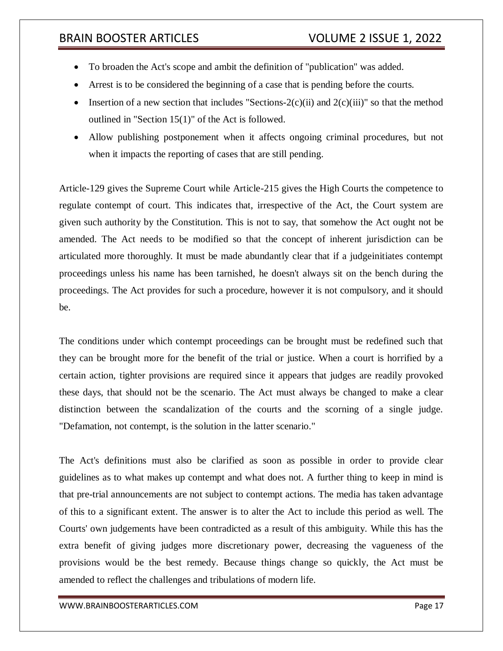- To broaden the Act's scope and ambit the definition of "publication" was added.
- Arrest is to be considered the beginning of a case that is pending before the courts.
- Insertion of a new section that includes "Sections-2(c)(ii) and 2(c)(iii)" so that the method outlined in "Section 15(1)" of the Act is followed.
- Allow publishing postponement when it affects ongoing criminal procedures, but not when it impacts the reporting of cases that are still pending.

Article-129 gives the Supreme Court while Article-215 gives the High Courts the competence to regulate contempt of court. This indicates that, irrespective of the Act, the Court system are given such authority by the Constitution. This is not to say, that somehow the Act ought not be amended. The Act needs to be modified so that the concept of inherent jurisdiction can be articulated more thoroughly. It must be made abundantly clear that if a judgeinitiates contempt proceedings unless his name has been tarnished, he doesn't always sit on the bench during the proceedings. The Act provides for such a procedure, however it is not compulsory, and it should be.

The conditions under which contempt proceedings can be brought must be redefined such that they can be brought more for the benefit of the trial or justice. When a court is horrified by a certain action, tighter provisions are required since it appears that judges are readily provoked these days, that should not be the scenario. The Act must always be changed to make a clear distinction between the scandalization of the courts and the scorning of a single judge. "Defamation, not contempt, is the solution in the latter scenario."

The Act's definitions must also be clarified as soon as possible in order to provide clear guidelines as to what makes up contempt and what does not. A further thing to keep in mind is that pre-trial announcements are not subject to contempt actions. The media has taken advantage of this to a significant extent. The answer is to alter the Act to include this period as well. The Courts' own judgements have been contradicted as a result of this ambiguity. While this has the extra benefit of giving judges more discretionary power, decreasing the vagueness of the provisions would be the best remedy. Because things change so quickly, the Act must be amended to reflect the challenges and tribulations of modern life.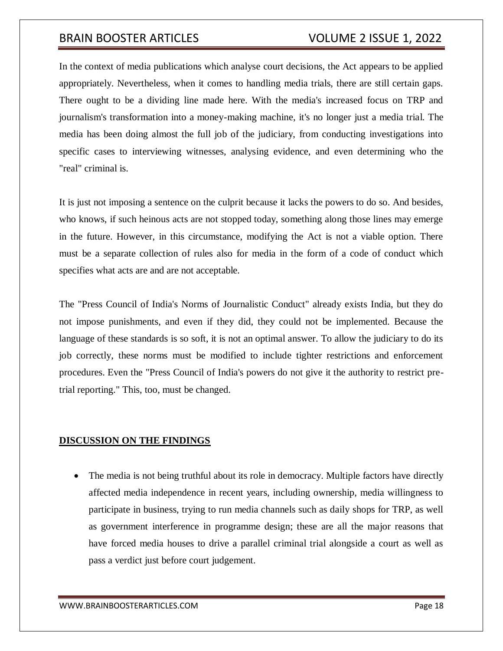In the context of media publications which analyse court decisions, the Act appears to be applied appropriately. Nevertheless, when it comes to handling media trials, there are still certain gaps. There ought to be a dividing line made here. With the media's increased focus on TRP and journalism's transformation into a money-making machine, it's no longer just a media trial. The media has been doing almost the full job of the judiciary, from conducting investigations into specific cases to interviewing witnesses, analysing evidence, and even determining who the "real" criminal is.

It is just not imposing a sentence on the culprit because it lacks the powers to do so. And besides, who knows, if such heinous acts are not stopped today, something along those lines may emerge in the future. However, in this circumstance, modifying the Act is not a viable option. There must be a separate collection of rules also for media in the form of a code of conduct which specifies what acts are and are not acceptable.

The "Press Council of India's Norms of Journalistic Conduct" already exists India, but they do not impose punishments, and even if they did, they could not be implemented. Because the language of these standards is so soft, it is not an optimal answer. To allow the judiciary to do its job correctly, these norms must be modified to include tighter restrictions and enforcement procedures. Even the "Press Council of India's powers do not give it the authority to restrict pretrial reporting." This, too, must be changed.

## **DISCUSSION ON THE FINDINGS**

 The media is not being truthful about its role in democracy. Multiple factors have directly affected media independence in recent years, including ownership, media willingness to participate in business, trying to run media channels such as daily shops for TRP, as well as government interference in programme design; these are all the major reasons that have forced media houses to drive a parallel criminal trial alongside a court as well as pass a verdict just before court judgement.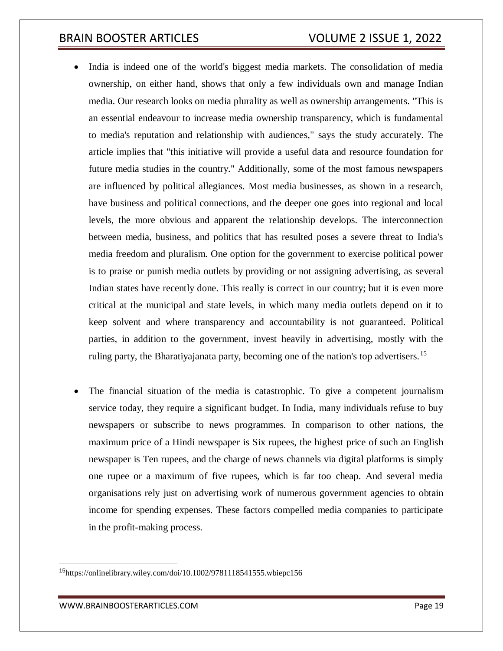- India is indeed one of the world's biggest media markets. The consolidation of media ownership, on either hand, shows that only a few individuals own and manage Indian media. Our research looks on media plurality as well as ownership arrangements. "This is an essential endeavour to increase media ownership transparency, which is fundamental to media's reputation and relationship with audiences," says the study accurately. The article implies that "this initiative will provide a useful data and resource foundation for future media studies in the country." Additionally, some of the most famous newspapers are influenced by political allegiances. Most media businesses, as shown in a research, have business and political connections, and the deeper one goes into regional and local levels, the more obvious and apparent the relationship develops. The interconnection between media, business, and politics that has resulted poses a severe threat to India's media freedom and pluralism. One option for the government to exercise political power is to praise or punish media outlets by providing or not assigning advertising, as several Indian states have recently done. This really is correct in our country; but it is even more critical at the municipal and state levels, in which many media outlets depend on it to keep solvent and where transparency and accountability is not guaranteed. Political parties, in addition to the government, invest heavily in advertising, mostly with the ruling party, the Bharatiyajanata party, becoming one of the nation's top advertisers.<sup>15</sup>
- The financial situation of the media is catastrophic. To give a competent journalism service today, they require a significant budget. In India, many individuals refuse to buy newspapers or subscribe to news programmes. In comparison to other nations, the maximum price of a Hindi newspaper is Six rupees, the highest price of such an English newspaper is Ten rupees, and the charge of news channels via digital platforms is simply one rupee or a maximum of five rupees, which is far too cheap. And several media organisations rely just on advertising work of numerous government agencies to obtain income for spending expenses. These factors compelled media companies to participate in the profit-making process.

<sup>15</sup><https://onlinelibrary.wiley.com/doi/10.1002/9781118541555.wbiepc156>